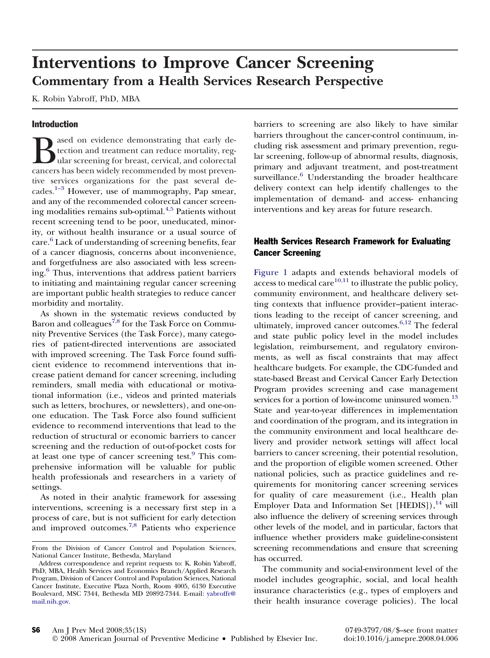# **Interventions to Improve Cancer Screening Commentary from a Health Services Research Perspective**

K. Robin Yabroff, PhD, MBA

#### Introduction

ased on evidence demonstrating that early detection and treatment can reduce mortality, regular screening for breast, cervical, and colorectal cancers has been widely recommended by most preventive services organizations for the past several decades. $1-3$  However, use of mammography, Pap smear, and any of the recommended colorectal cancer screening modalities remains sub-optimal.[4,5](#page-3-0) Patients without recent screening tend to be poor, uneducated, minority, or without health insurance or a usual source of care.<sup>[6](#page-3-0)</sup> Lack of understanding of screening benefits, fear of a cancer diagnosis, concerns about inconvenience, and forgetfulness are also associated with less screening.[6](#page-3-0) Thus, interventions that address patient barriers to initiating and maintaining regular cancer screening are important public health strategies to reduce cancer morbidity and mortality.

As shown in the systematic reviews conducted by Baron and colleagues<sup>[7,8](#page-3-0)</sup> for the Task Force on Community Preventive Services (the Task Force), many categories of patient-directed interventions are associated with improved screening. The Task Force found sufficient evidence to recommend interventions that increase patient demand for cancer screening, including reminders, small media with educational or motivational information (i.e., videos and printed materials such as letters, brochures, or newsletters), and one-onone education. The Task Force also found sufficient evidence to recommend interventions that lead to the reduction of structural or economic barriers to cancer screening and the reduction of out-of-pocket costs for at least one type of cancer screening test.<sup>[9](#page-3-0)</sup> This comprehensive information will be valuable for public health professionals and researchers in a variety of settings.

As noted in their analytic framework for assessing interventions, screening is a necessary first step in a process of care, but is not sufficient for early detection and improved outcomes.[7,8](#page-3-0) Patients who experience

barriers to screening are also likely to have similar barriers throughout the cancer-control continuum, including risk assessment and primary prevention, regular screening, follow-up of abnormal results, diagnosis, primary and adjuvant treatment, and post-treatment surveillance.<sup>[6](#page-3-0)</sup> Understanding the broader healthcare delivery context can help identify challenges to the implementation of demand- and access- enhancing interventions and key areas for future research.

# Health Services Research Framework for Evaluating Cancer Screening

[Figure](#page-1-0) 1 adapts and extends behavioral models of access to medical care<sup>[10,11](#page-3-0)</sup> to illustrate the public policy, community environment, and healthcare delivery setting contexts that influence provider–patient interactions leading to the receipt of cancer screening, and ultimately, improved cancer outcomes.  $6,12$  The federal and state public policy level in the model includes legislation, reimbursement, and regulatory environments, as well as fiscal constraints that may affect healthcare budgets. For example, the CDC-funded and state-based Breast and Cervical Cancer Early Detection Program provides screening and case management services for a portion of low-income uninsured women.<sup>13</sup> State and year-to-year differences in implementation and coordination of the program, and its integration in the community environment and local healthcare delivery and provider network settings will affect local barriers to cancer screening, their potential resolution, and the proportion of eligible women screened. Other national policies, such as practice guidelines and requirements for monitoring cancer screening services for quality of care measurement (i.e., Health plan Employer Data and Information Set  $[HEDIS]$ ),<sup>[14](#page-3-0)</sup> will also influence the delivery of screening services through other levels of the model, and in particular, factors that influence whether providers make guideline-consistent screening recommendations and ensure that screening has occurred.

The community and social-environment level of the model includes geographic, social, and local health insurance characteristics (e.g., types of employers and their health insurance coverage policies). The local

From the Division of Cancer Control and Population Sciences, National Cancer Institute, Bethesda, Maryland

Address correspondence and reprint requests to: K. Robin Yabroff, PhD, MBA, Health Services and Economics Branch/Applied Research Program, Division of Cancer Control and Population Sciences, National Cancer Institute, Executive Plaza North, Room 4005, 6130 Executive Boulevard, MSC 7344, Bethesda MD 20892-7344. E-mail: [yabroffr@](mailto:yabroffr@mail.nih.gov) [mail.nih.gov.](mailto:yabroffr@mail.nih.gov)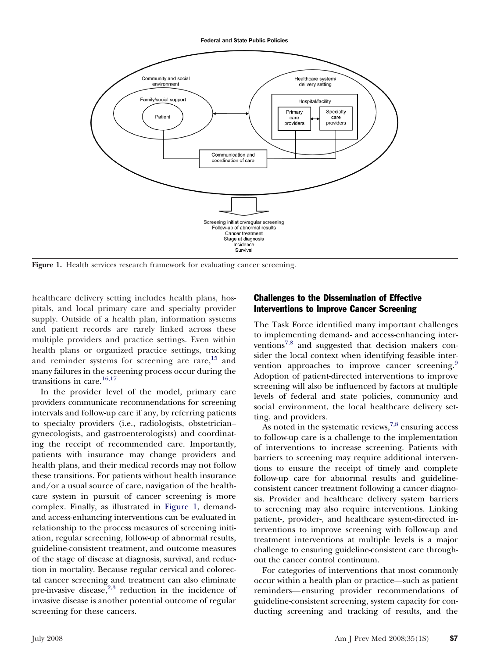**Federal and State Public Policies** 

<span id="page-1-0"></span>

**Figure 1.** Health services research framework for evaluating cancer screening.

healthcare delivery setting includes health plans, hospitals, and local primary care and specialty provider supply. Outside of a health plan, information systems and patient records are rarely linked across these multiple providers and practice settings. Even within health plans or organized practice settings, tracking and reminder systems for screening are rare, $^{15}$  $^{15}$  $^{15}$  and many failures in the screening process occur during the transitions in care. $16,17$ 

In the provider level of the model, primary care providers communicate recommendations for screening intervals and follow-up care if any, by referring patients to specialty providers (i.e., radiologists, obstetrician– gynecologists, and gastroenterologists) and coordinating the receipt of recommended care. Importantly, patients with insurance may change providers and health plans, and their medical records may not follow these transitions. For patients without health insurance and/or a usual source of care, navigation of the healthcare system in pursuit of cancer screening is more complex. Finally, as illustrated in Figure 1, demandand access-enhancing interventions can be evaluated in relationship to the process measures of screening initiation, regular screening, follow-up of abnormal results, guideline-consistent treatment, and outcome measures of the stage of disease at diagnosis, survival, and reduction in mortality. Because regular cervical and colorectal cancer screening and treatment can also eliminate pre-invasive disease, $2,3$  reduction in the incidence of invasive disease is another potential outcome of regular screening for these cancers.

# Challenges to the Dissemination of Effective Interventions to Improve Cancer Screening

The Task Force identified many important challenges to implementing demand- and access-enhancing inter-ventions<sup>[7,8](#page-3-0)</sup> and suggested that decision makers consider the local context when identifying feasible inter-vention approaches to improve cancer screening.<sup>[9](#page-3-0)</sup> Adoption of patient-directed interventions to improve screening will also be influenced by factors at multiple levels of federal and state policies, community and social environment, the local healthcare delivery setting, and providers.

As noted in the systematic reviews,  $7,8$  ensuring access to follow-up care is a challenge to the implementation of interventions to increase screening. Patients with barriers to screening may require additional interventions to ensure the receipt of timely and complete follow-up care for abnormal results and guidelineconsistent cancer treatment following a cancer diagnosis. Provider and healthcare delivery system barriers to screening may also require interventions. Linking patient-, provider-, and healthcare system-directed interventions to improve screening with follow-up and treatment interventions at multiple levels is a major challenge to ensuring guideline-consistent care throughout the cancer control continuum.

For categories of interventions that most commonly occur within a health plan or practice—such as patient reminders—ensuring provider recommendations of guideline-consistent screening, system capacity for conducting screening and tracking of results, and the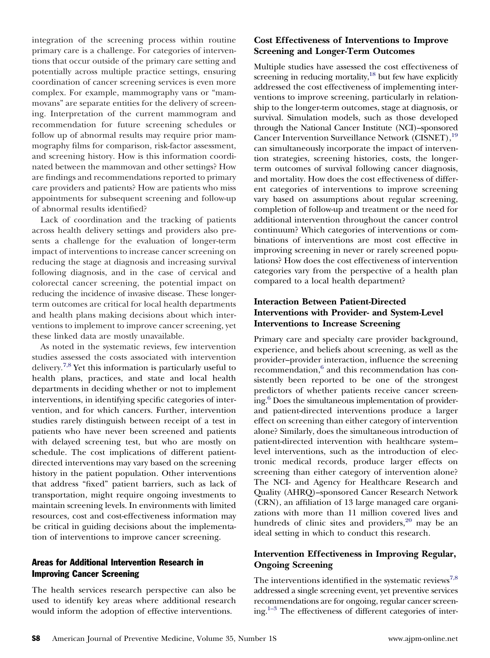integration of the screening process within routine primary care is a challenge. For categories of interventions that occur outside of the primary care setting and potentially across multiple practice settings, ensuring coordination of cancer screening services is even more complex. For example, mammography vans or "mammovans" are separate entities for the delivery of screening. Interpretation of the current mammogram and recommendation for future screening schedules or follow up of abnormal results may require prior mammography films for comparison, risk-factor assessment, and screening history. How is this information coordinated between the mammovan and other settings? How are findings and recommendations reported to primary care providers and patients? How are patients who miss appointments for subsequent screening and follow-up of abnormal results identified?

Lack of coordination and the tracking of patients across health delivery settings and providers also presents a challenge for the evaluation of longer-term impact of interventions to increase cancer screening on reducing the stage at diagnosis and increasing survival following diagnosis, and in the case of cervical and colorectal cancer screening, the potential impact on reducing the incidence of invasive disease. These longerterm outcomes are critical for local health departments and health plans making decisions about which interventions to implement to improve cancer screening, yet these linked data are mostly unavailable.

As noted in the systematic reviews, few intervention studies assessed the costs associated with intervention delivery.[7,8](#page-3-0) Yet this information is particularly useful to health plans, practices, and state and local health departments in deciding whether or not to implement interventions, in identifying specific categories of intervention, and for which cancers. Further, intervention studies rarely distinguish between receipt of a test in patients who have never been screened and patients with delayed screening test, but who are mostly on schedule. The cost implications of different patientdirected interventions may vary based on the screening history in the patient population. Other interventions that address "fixed" patient barriers, such as lack of transportation, might require ongoing investments to maintain screening levels. In environments with limited resources, cost and cost-effectiveness information may be critical in guiding decisions about the implementation of interventions to improve cancer screening.

## Areas for Additional Intervention Research in Improving Cancer Screening

The health services research perspective can also be used to identify key areas where additional research would inform the adoption of effective interventions.

#### **Cost Effectiveness of Interventions to Improve Screening and Longer-Term Outcomes**

Multiple studies have assessed the cost effectiveness of screening in reducing mortality, $^{18}$  but few have explicitly addressed the cost effectiveness of implementing interventions to improve screening, particularly in relationship to the longer-term outcomes, stage at diagnosis, or survival. Simulation models, such as those developed through the National Cancer Institute (NCI)–sponsored Cancer Intervention Surveillance Network (CISNET),<sup>[19](#page-3-0)</sup> can simultaneously incorporate the impact of intervention strategies, screening histories, costs, the longerterm outcomes of survival following cancer diagnosis, and mortality. How does the cost effectiveness of different categories of interventions to improve screening vary based on assumptions about regular screening, completion of follow-up and treatment or the need for additional intervention throughout the cancer control continuum? Which categories of interventions or combinations of interventions are most cost effective in improving screening in never or rarely screened populations? How does the cost effectiveness of intervention categories vary from the perspective of a health plan compared to a local health department?

# **Interaction Between Patient-Directed Interventions with Provider- and System-Level Interventions to Increase Screening**

Primary care and specialty care provider background, experience, and beliefs about screening, as well as the provider–provider interaction, influence the screening recommendation,<sup>[6](#page-3-0)</sup> and this recommendation has consistently been reported to be one of the strongest predictors of whether patients receive cancer screen $ing<sup>6</sup>$  Does the simultaneous implementation of providerand patient-directed interventions produce a larger effect on screening than either category of intervention alone? Similarly, does the simultaneous introduction of patient-directed intervention with healthcare system– level interventions, such as the introduction of electronic medical records, produce larger effects on screening than either category of intervention alone? The NCI- and Agency for Healthcare Research and Quality (AHRQ)–sponsored Cancer Research Network (CRN), an affiliation of 13 large managed care organizations with more than 11 million covered lives and hundreds of clinic sites and providers, $20$  may be an ideal setting in which to conduct this research.

## **Intervention Effectiveness in Improving Regular, Ongoing Screening**

The interventions identified in the systematic reviews<sup>[7,8](#page-3-0)</sup> addressed a single screening event, yet preventive services recommendations are for ongoing, regular cancer screening[.1–3](#page-3-0) The effectiveness of different categories of inter